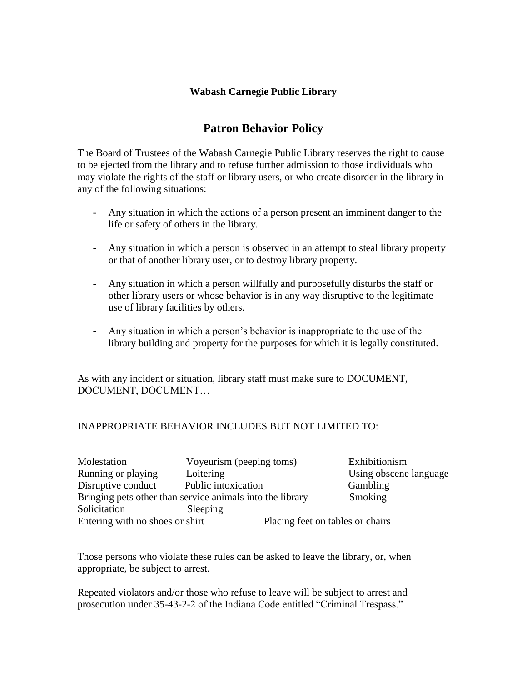## **Wabash Carnegie Public Library**

# **Patron Behavior Policy**

The Board of Trustees of the Wabash Carnegie Public Library reserves the right to cause to be ejected from the library and to refuse further admission to those individuals who may violate the rights of the staff or library users, or who create disorder in the library in any of the following situations:

- Any situation in which the actions of a person present an imminent danger to the life or safety of others in the library.
- Any situation in which a person is observed in an attempt to steal library property or that of another library user, or to destroy library property.
- Any situation in which a person willfully and purposefully disturbs the staff or other library users or whose behavior is in any way disruptive to the legitimate use of library facilities by others.
- Any situation in which a person's behavior is inappropriate to the use of the library building and property for the purposes for which it is legally constituted.

As with any incident or situation, library staff must make sure to DOCUMENT, DOCUMENT, DOCUMENT…

### INAPPROPRIATE BEHAVIOR INCLUDES BUT NOT LIMITED TO:

| Molestation                                               | Voyeurism (peeping toms) | Exhibitionism                    |
|-----------------------------------------------------------|--------------------------|----------------------------------|
| Running or playing                                        | Loitering                | Using obscene language           |
| Disruptive conduct                                        | Public intoxication      | Gambling                         |
| Bringing pets other than service animals into the library |                          | Smoking                          |
| Solicitation                                              | Sleeping                 |                                  |
| Entering with no shoes or shirt                           |                          | Placing feet on tables or chairs |

Those persons who violate these rules can be asked to leave the library, or, when appropriate, be subject to arrest.

Repeated violators and/or those who refuse to leave will be subject to arrest and prosecution under 35-43-2-2 of the Indiana Code entitled "Criminal Trespass."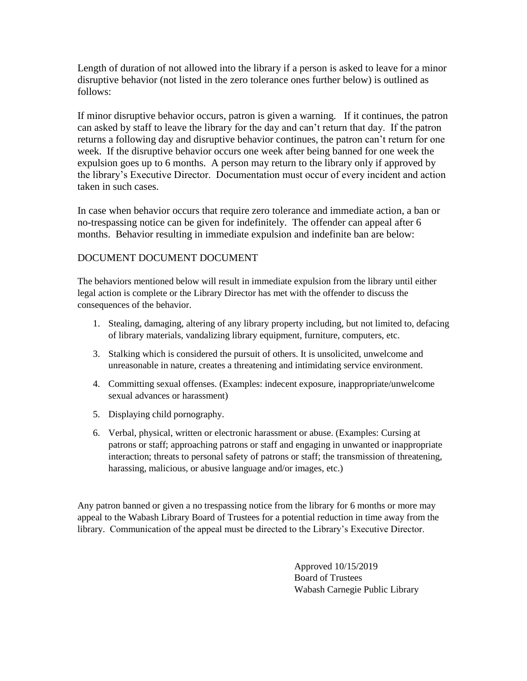Length of duration of not allowed into the library if a person is asked to leave for a minor disruptive behavior (not listed in the zero tolerance ones further below) is outlined as follows:

If minor disruptive behavior occurs, patron is given a warning. If it continues, the patron can asked by staff to leave the library for the day and can't return that day. If the patron returns a following day and disruptive behavior continues, the patron can't return for one week. If the disruptive behavior occurs one week after being banned for one week the expulsion goes up to 6 months. A person may return to the library only if approved by the library's Executive Director. Documentation must occur of every incident and action taken in such cases.

In case when behavior occurs that require zero tolerance and immediate action, a ban or no-trespassing notice can be given for indefinitely. The offender can appeal after 6 months. Behavior resulting in immediate expulsion and indefinite ban are below:

#### DOCUMENT DOCUMENT DOCUMENT

The behaviors mentioned below will result in immediate expulsion from the library until either legal action is complete or the Library Director has met with the offender to discuss the consequences of the behavior.

- 1. Stealing, damaging, altering of any library property including, but not limited to, defacing of library materials, vandalizing library equipment, furniture, computers, etc.
- 3. Stalking which is considered the pursuit of others. It is unsolicited, unwelcome and unreasonable in nature, creates a threatening and intimidating service environment.
- 4. Committing sexual offenses. (Examples: indecent exposure, inappropriate/unwelcome sexual advances or harassment)
- 5. Displaying child pornography.
- 6. Verbal, physical, written or electronic harassment or abuse. (Examples: Cursing at patrons or staff; approaching patrons or staff and engaging in unwanted or inappropriate interaction; threats to personal safety of patrons or staff; the transmission of threatening, harassing, malicious, or abusive language and/or images, etc.)

Any patron banned or given a no trespassing notice from the library for 6 months or more may appeal to the Wabash Library Board of Trustees for a potential reduction in time away from the library. Communication of the appeal must be directed to the Library's Executive Director.

> Approved 10/15/2019 Board of Trustees Wabash Carnegie Public Library